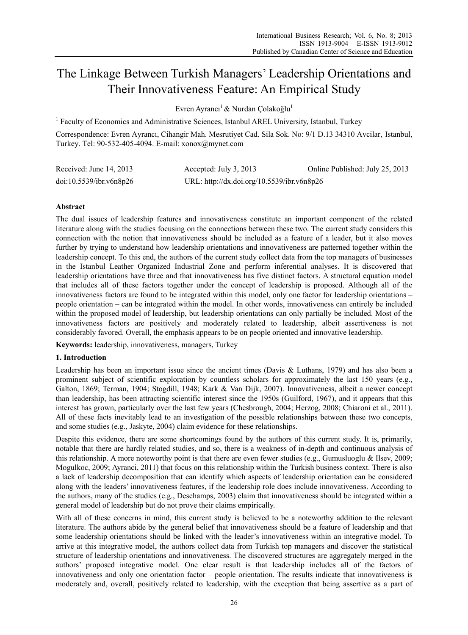# The Linkage Between Turkish Managers' Leadership Orientations and Their Innovativeness Feature: An Empirical Study

Evren Ayrancı<sup>1</sup> & Nurdan Çolakoğlu<sup>1</sup>

<sup>1</sup> Faculty of Economics and Administrative Sciences, Istanbul AREL University, Istanbul, Turkey

Correspondence: Evren Ayrancı, Cihangir Mah. Mesrutiyet Cad. Sila Sok. No: 9/1 D.13 34310 Avcilar, Istanbul, Turkey. Tel: 90-532-405-4094. E-mail: xonox@mynet.com

| Received: June $14, 2013$ | Accepted: July 3, 2013                     | Online Published: July 25, 2013 |
|---------------------------|--------------------------------------------|---------------------------------|
| doi:10.5539/ibr.v6n8p26   | URL: http://dx.doi.org/10.5539/ibr.v6n8p26 |                                 |

## **Abstract**

The dual issues of leadership features and innovativeness constitute an important component of the related literature along with the studies focusing on the connections between these two. The current study considers this connection with the notion that innovativeness should be included as a feature of a leader, but it also moves further by trying to understand how leadership orientations and innovativeness are patterned together within the leadership concept. To this end, the authors of the current study collect data from the top managers of businesses in the Istanbul Leather Organized Industrial Zone and perform inferential analyses. It is discovered that leadership orientations have three and that innovativeness has five distinct factors. A structural equation model that includes all of these factors together under the concept of leadership is proposed. Although all of the innovativeness factors are found to be integrated within this model, only one factor for leadership orientations – people orientation – can be integrated within the model. In other words, innovativeness can entirely be included within the proposed model of leadership, but leadership orientations can only partially be included. Most of the innovativeness factors are positively and moderately related to leadership, albeit assertiveness is not considerably favored. Overall, the emphasis appears to be on people oriented and innovative leadership.

**Keywords:** leadership, innovativeness, managers, Turkey

## **1. Introduction**

Leadership has been an important issue since the ancient times (Davis & Luthans, 1979) and has also been a prominent subject of scientific exploration by countless scholars for approximately the last 150 years (e.g., Galton, 1869; Terman, 1904; Stogdill, 1948; Kark & Van Dijk, 2007). Innovativeness, albeit a newer concept than leadership, has been attracting scientific interest since the 1950s (Guilford, 1967), and it appears that this interest has grown, particularly over the last few years (Chesbrough, 2004; Herzog, 2008; Chiaroni et al., 2011). All of these facts inevitably lead to an investigation of the possible relationships between these two concepts, and some studies (e.g., Jaskyte, 2004) claim evidence for these relationships.

Despite this evidence, there are some shortcomings found by the authors of this current study. It is, primarily, notable that there are hardly related studies, and so, there is a weakness of in-depth and continuous analysis of this relationship. A more noteworthy point is that there are even fewer studies (e.g., Gumusluoglu & Ilsev, 2009; Mogulkoc, 2009; Ayranci, 2011) that focus on this relationship within the Turkish business context. There is also a lack of leadership decomposition that can identify which aspects of leadership orientation can be considered along with the leaders' innovativeness features, if the leadership role does include innovativeness. According to the authors, many of the studies (e.g., Deschamps, 2003) claim that innovativeness should be integrated within a general model of leadership but do not prove their claims empirically.

With all of these concerns in mind, this current study is believed to be a noteworthy addition to the relevant literature. The authors abide by the general belief that innovativeness should be a feature of leadership and that some leadership orientations should be linked with the leader's innovativeness within an integrative model. To arrive at this integrative model, the authors collect data from Turkish top managers and discover the statistical structure of leadership orientations and innovativeness. The discovered structures are aggregately merged in the authors' proposed integrative model. One clear result is that leadership includes all of the factors of innovativeness and only one orientation factor – people orientation. The results indicate that innovativeness is moderately and, overall, positively related to leadership, with the exception that being assertive as a part of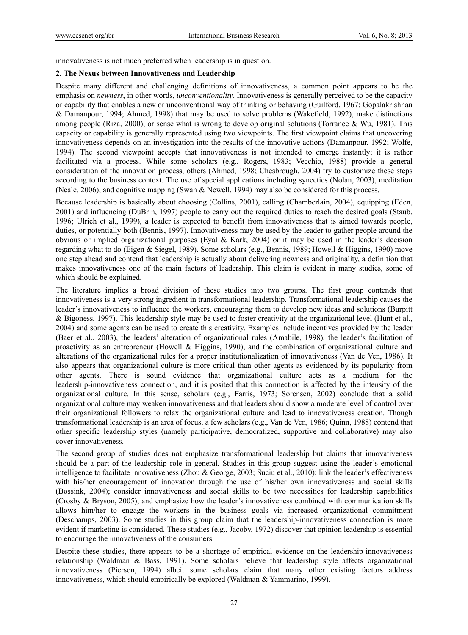innovativeness is not much preferred when leadership is in question.

#### **2. The Nexus between Innovativeness and Leadership**

Despite many different and challenging definitions of innovativeness, a common point appears to be the emphasis on *newness*, in other words, *unconventionality*. Innovativeness is generally perceived to be the capacity or capability that enables a new or unconventional way of thinking or behaving (Guilford, 1967; Gopalakrishnan & Damanpour, 1994; Ahmed, 1998) that may be used to solve problems (Wakefield, 1992), make distinctions among people (Riza, 2000), or sense what is wrong to develop original solutions (Torrance & Wu, 1981). This capacity or capability is generally represented using two viewpoints. The first viewpoint claims that uncovering innovativeness depends on an investigation into the results of the innovative actions (Damanpour, 1992; Wolfe, 1994). The second viewpoint accepts that innovativeness is not intended to emerge instantly; it is rather facilitated via a process. While some scholars (e.g., Rogers, 1983; Vecchio, 1988) provide a general consideration of the innovation process, others (Ahmed, 1998; Chesbrough, 2004) try to customize these steps according to the business context. The use of special applications including synectics (Nolan, 2003), meditation (Neale, 2006), and cognitive mapping (Swan & Newell, 1994) may also be considered for this process.

Because leadership is basically about choosing (Collins, 2001), calling (Chamberlain, 2004), equipping (Eden, 2001) and influencing (DuBrin, 1997) people to carry out the required duties to reach the desired goals (Staub, 1996; Ulrich et al., 1999), a leader is expected to benefit from innovativeness that is aimed towards people, duties, or potentially both (Bennis, 1997). Innovativeness may be used by the leader to gather people around the obvious or implied organizational purposes (Eyal & Kark, 2004) or it may be used in the leader's decision regarding what to do (Eigen & Siegel, 1989). Some scholars (e.g., Bennis, 1989; Howell & Higgins, 1990) move one step ahead and contend that leadership is actually about delivering newness and originality, a definition that makes innovativeness one of the main factors of leadership. This claim is evident in many studies, some of which should be explained.

The literature implies a broad division of these studies into two groups. The first group contends that innovativeness is a very strong ingredient in transformational leadership. Transformational leadership causes the leader's innovativeness to influence the workers, encouraging them to develop new ideas and solutions (Burpitt & Bigoness, 1997). This leadership style may be used to foster creativity at the organizational level (Hunt et al., 2004) and some agents can be used to create this creativity. Examples include incentives provided by the leader (Baer et al., 2003), the leaders' alteration of organizational rules (Amabile, 1998), the leader's facilitation of proactivity as an entrepreneur (Howell & Higgins, 1990), and the combination of organizational culture and alterations of the organizational rules for a proper institutionalization of innovativeness (Van de Ven, 1986). It also appears that organizational culture is more critical than other agents as evidenced by its popularity from other agents. There is sound evidence that organizational culture acts as a medium for the leadership-innovativeness connection, and it is posited that this connection is affected by the intensity of the organizational culture. In this sense, scholars (e.g., Farris, 1973; Sorensen, 2002) conclude that a solid organizational culture may weaken innovativeness and that leaders should show a moderate level of control over their organizational followers to relax the organizational culture and lead to innovativeness creation. Though transformational leadership is an area of focus, a few scholars (e.g., Van de Ven, 1986; Quinn, 1988) contend that other specific leadership styles (namely participative, democratized, supportive and collaborative) may also cover innovativeness.

The second group of studies does not emphasize transformational leadership but claims that innovativeness should be a part of the leadership role in general. Studies in this group suggest using the leader's emotional intelligence to facilitate innovativeness (Zhou & George, 2003; Suciu et al., 2010); link the leader's effectiveness with his/her encouragement of innovation through the use of his/her own innovativeness and social skills (Bossink, 2004); consider innovativeness and social skills to be two necessities for leadership capabilities (Crosby & Bryson, 2005); and emphasize how the leader's innovativeness combined with communication skills allows him/her to engage the workers in the business goals via increased organizational commitment (Deschamps, 2003). Some studies in this group claim that the leadership-innovativeness connection is more evident if marketing is considered. These studies (e.g., Jacoby, 1972) discover that opinion leadership is essential to encourage the innovativeness of the consumers.

Despite these studies, there appears to be a shortage of empirical evidence on the leadership-innovativeness relationship (Waldman & Bass, 1991). Some scholars believe that leadership style affects organizational innovativeness (Pierson, 1994) albeit some scholars claim that many other existing factors address innovativeness, which should empirically be explored (Waldman & Yammarino, 1999).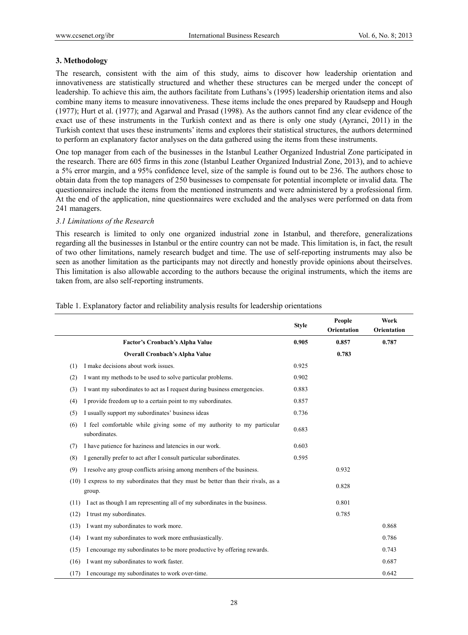## **3. Methodology**

The research, consistent with the aim of this study, aims to discover how leadership orientation and innovativeness are statistically structured and whether these structures can be merged under the concept of leadership. To achieve this aim, the authors facilitate from Luthans's (1995) leadership orientation items and also combine many items to measure innovativeness. These items include the ones prepared by Raudsepp and Hough (1977); Hurt et al. (1977); and Agarwal and Prasad (1998). As the authors cannot find any clear evidence of the exact use of these instruments in the Turkish context and as there is only one study (Ayranci, 2011) in the Turkish context that uses these instruments' items and explores their statistical structures, the authors determined to perform an explanatory factor analyses on the data gathered using the items from these instruments.

One top manager from each of the businesses in the Istanbul Leather Organized Industrial Zone participated in the research. There are 605 firms in this zone (Istanbul Leather Organized Industrial Zone, 2013), and to achieve a 5% error margin, and a 95% confidence level, size of the sample is found out to be 236. The authors chose to obtain data from the top managers of 250 businesses to compensate for potential incomplete or invalid data. The questionnaires include the items from the mentioned instruments and were administered by a professional firm. At the end of the application, nine questionnaires were excluded and the analyses were performed on data from 241 managers.

## *3.1 Limitations of the Research*

This research is limited to only one organized industrial zone in Istanbul, and therefore, generalizations regarding all the businesses in Istanbul or the entire country can not be made. This limitation is, in fact, the result of two other limitations, namely research budget and time. The use of self-reporting instruments may also be seen as another limitation as the participants may not directly and honestly provide opinions about theirselves. This limitation is also allowable according to the authors because the original instruments, which the items are taken from, are also self-reporting instruments.

|      |                                                                                         | <b>Style</b> | People<br>Orientation | Work<br>Orientation |
|------|-----------------------------------------------------------------------------------------|--------------|-----------------------|---------------------|
|      | <b>Factor's Cronbach's Alpha Value</b>                                                  | 0.905        | 0.857                 | 0.787               |
|      | <b>Overall Cronbach's Alpha Value</b>                                                   |              | 0.783                 |                     |
| (1)  | I make decisions about work issues.                                                     | 0.925        |                       |                     |
| (2)  | I want my methods to be used to solve particular problems.                              | 0.902        |                       |                     |
| (3)  | I want my subordinates to act as I request during business emergencies.                 | 0.883        |                       |                     |
| (4)  | I provide freedom up to a certain point to my subordinates.                             | 0.857        |                       |                     |
| (5)  | I usually support my subordinates' business ideas                                       | 0.736        |                       |                     |
| (6)  | I feel comfortable while giving some of my authority to my particular<br>subordinates.  | 0.683        |                       |                     |
| (7)  | I have patience for haziness and latencies in our work.                                 | 0.603        |                       |                     |
| (8)  | I generally prefer to act after I consult particular subordinates.                      | 0.595        |                       |                     |
| (9)  | I resolve any group conflicts arising among members of the business.                    |              | 0.932                 |                     |
| (10) | I express to my subordinates that they must be better than their rivals, as a<br>group. |              | 0.828                 |                     |
| (11) | I act as though I am representing all of my subordinates in the business.               |              | 0.801                 |                     |
| (12) | I trust my subordinates.                                                                |              | 0.785                 |                     |
| (13) | I want my subordinates to work more.                                                    |              |                       | 0.868               |
| (14) | I want my subordinates to work more enthusiastically.                                   |              |                       | 0.786               |
| (15) | I encourage my subordinates to be more productive by offering rewards.                  |              |                       | 0.743               |
| (16) | I want my subordinates to work faster.                                                  |              |                       | 0.687               |
| (17) | I encourage my subordinates to work over-time.                                          |              |                       | 0.642               |

Table 1. Explanatory factor and reliability analysis results for leadership orientations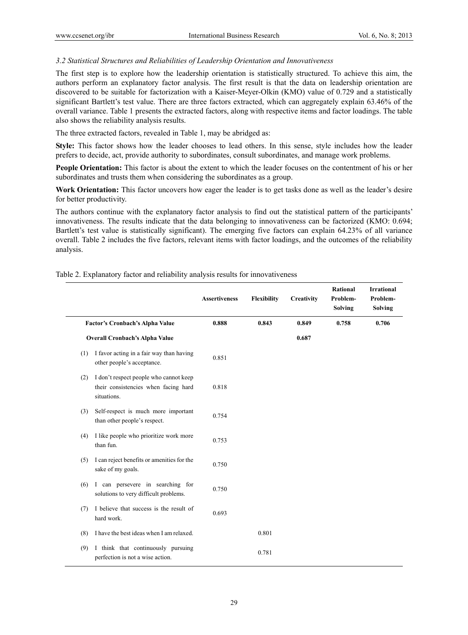## *3.2 Statistical Structures and Reliabilities of Leadership Orientation and Innovativeness*

The first step is to explore how the leadership orientation is statistically structured. To achieve this aim, the authors perform an explanatory factor analysis. The first result is that the data on leadership orientation are discovered to be suitable for factorization with a Kaiser-Meyer-Olkin (KMO) value of 0.729 and a statistically significant Bartlett's test value. There are three factors extracted, which can aggregately explain 63.46% of the overall variance. Table 1 presents the extracted factors, along with respective items and factor loadings. The table also shows the reliability analysis results.

The three extracted factors, revealed in Table 1, may be abridged as:

**Style:** This factor shows how the leader chooses to lead others. In this sense, style includes how the leader prefers to decide, act, provide authority to subordinates, consult subordinates, and manage work problems.

**People Orientation:** This factor is about the extent to which the leader focuses on the contentment of his or her subordinates and trusts them when considering the subordinates as a group.

**Work Orientation:** This factor uncovers how eager the leader is to get tasks done as well as the leader's desire for better productivity.

The authors continue with the explanatory factor analysis to find out the statistical pattern of the participants' innovativeness. The results indicate that the data belonging to innovativeness can be factorized (KMO: 0.694; Bartlett's test value is statistically significant). The emerging five factors can explain 64.23% of all variance overall. Table 2 includes the five factors, relevant items with factor loadings, and the outcomes of the reliability analysis.

|     |                                                                                               | <b>Assertiveness</b> | Flexibility | Creativity | <b>Rational</b><br>Problem-<br><b>Solving</b> | <b>Irrational</b><br>Problem-<br>Solving |
|-----|-----------------------------------------------------------------------------------------------|----------------------|-------------|------------|-----------------------------------------------|------------------------------------------|
|     | Factor's Cronbach's Alpha Value                                                               | 0.888                | 0.843       | 0.849      | 0.758                                         | 0.706                                    |
|     | <b>Overall Cronbach's Alpha Value</b>                                                         |                      |             | 0.687      |                                               |                                          |
| (1) | I favor acting in a fair way than having<br>other people's acceptance.                        | 0.851                |             |            |                                               |                                          |
| (2) | I don't respect people who cannot keep<br>their consistencies when facing hard<br>situations. | 0.818                |             |            |                                               |                                          |
| (3) | Self-respect is much more important<br>than other people's respect.                           | 0.754                |             |            |                                               |                                          |
| (4) | I like people who prioritize work more<br>than fun.                                           | 0.753                |             |            |                                               |                                          |
| (5) | I can reject benefits or amenities for the<br>sake of my goals.                               | 0.750                |             |            |                                               |                                          |
| (6) | I can persevere in searching for<br>solutions to very difficult problems.                     | 0.750                |             |            |                                               |                                          |
| (7) | I believe that success is the result of<br>hard work.                                         | 0.693                |             |            |                                               |                                          |
| (8) | I have the best ideas when I am relaxed.                                                      |                      | 0.801       |            |                                               |                                          |
| (9) | I think that continuously pursuing<br>perfection is not a wise action.                        |                      | 0.781       |            |                                               |                                          |

#### Table 2. Explanatory factor and reliability analysis results for innovativeness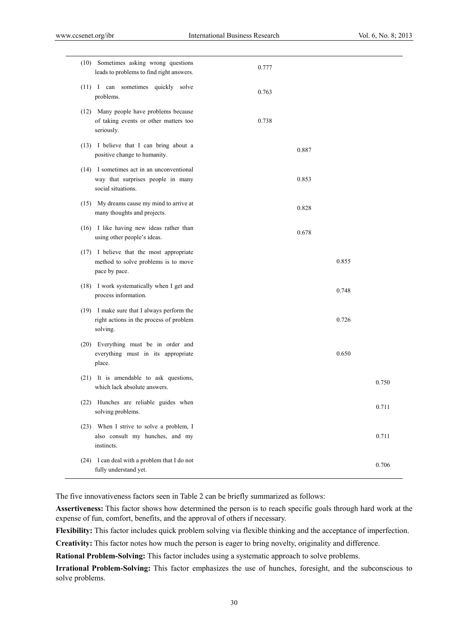|      | (10) Sometimes asking wrong questions<br>leads to problems to find right answers.                    | 0.777 |       |       |       |
|------|------------------------------------------------------------------------------------------------------|-------|-------|-------|-------|
|      | (11) I can sometimes quickly solve<br>problems.                                                      | 0.763 |       |       |       |
|      | (12) Many people have problems because<br>of taking events or other matters too<br>seriously.        | 0.738 |       |       |       |
|      | (13) I believe that I can bring about a<br>positive change to humanity.                              |       | 0.887 |       |       |
|      | (14) I sometimes act in an unconventional<br>way that surprises people in many<br>social situations. |       | 0.853 |       |       |
|      | (15) My dreams cause my mind to arrive at<br>many thoughts and projects.                             |       | 0.828 |       |       |
|      | (16) I like having new ideas rather than<br>using other people's ideas.                              |       | 0.678 |       |       |
|      | (17) I believe that the most appropriate<br>method to solve problems is to move<br>pace by pace.     |       |       | 0.855 |       |
|      | (18) I work systematically when I get and<br>process information.                                    |       |       | 0.748 |       |
|      | (19) I make sure that I always perform the<br>right actions in the process of problem<br>solving.    |       |       | 0.726 |       |
|      | (20) Everything must be in order and<br>everything must in its appropriate<br>place.                 |       |       | 0.650 |       |
|      | (21) It is amendable to ask questions,<br>which lack absolute answers.                               |       |       |       | 0.750 |
|      | (22) Hunches are reliable guides when<br>solving problems.                                           |       |       |       | 0.711 |
| (23) | When I strive to solve a problem, I<br>also consult my hunches, and my<br>instincts.                 |       |       |       | 0.711 |
| (24) | I can deal with a problem that I do not<br>fully understand yet.                                     |       |       |       | 0.706 |

The five innovativeness factors seen in Table 2 can be briefly summarized as follows:

**Assertiveness:** This factor shows how determined the person is to reach specific goals through hard work at the expense of fun, comfort, benefits, and the approval of others if necessary.

**Flexibility:** This factor includes quick problem solving via flexible thinking and the acceptance of imperfection.

**Creativity:** This factor notes how much the person is eager to bring novelty, originality and difference.

**Rational Problem-Solving:** This factor includes using a systematic approach to solve problems.

**Irrational Problem-Solving:** This factor emphasizes the use of hunches, foresight, and the subconscious to solve problems.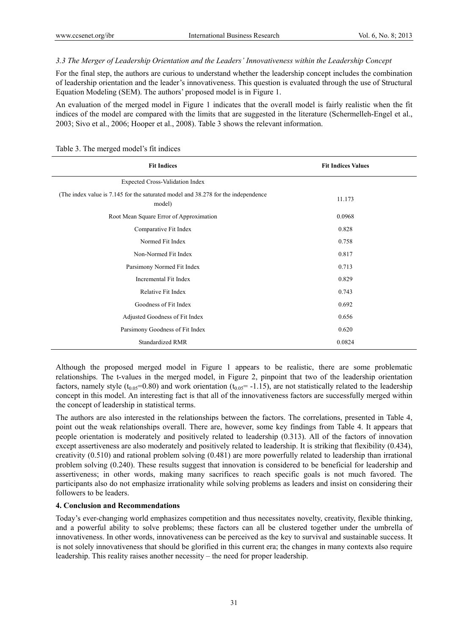## *3.3 The Merger of Leadership Orientation and the Leaders' Innovativeness within the Leadership Concept*

For the final step, the authors are curious to understand whether the leadership concept includes the combination of leadership orientation and the leader's innovativeness. This question is evaluated through the use of Structural Equation Modeling (SEM). The authors' proposed model is in Figure 1.

An evaluation of the merged model in Figure 1 indicates that the overall model is fairly realistic when the fit indices of the model are compared with the limits that are suggested in the literature (Schermelleh-Engel et al., 2003; Sivo et al., 2006; Hooper et al., 2008). Table 3 shows the relevant information.

| <b>Fit Indices</b>                                                                          | <b>Fit Indices Values</b> |
|---------------------------------------------------------------------------------------------|---------------------------|
| <b>Expected Cross-Validation Index</b>                                                      |                           |
| (The index value is 7.145 for the saturated model and 38.278 for the independence<br>model) | 11.173                    |
| Root Mean Square Error of Approximation                                                     | 0.0968                    |
| Comparative Fit Index                                                                       | 0.828                     |
| Normed Fit Index                                                                            | 0.758                     |
| Non-Normed Fit Index                                                                        | 0.817                     |
| Parsimony Normed Fit Index                                                                  | 0.713                     |
| Incremental Fit Index                                                                       | 0.829                     |
| Relative Fit Index                                                                          | 0.743                     |
| Goodness of Fit Index                                                                       | 0.692                     |
| Adjusted Goodness of Fit Index                                                              | 0.656                     |
| Parsimony Goodness of Fit Index                                                             | 0.620                     |
| <b>Standardized RMR</b>                                                                     | 0.0824                    |

Table 3. The merged model's fit indices

Although the proposed merged model in Figure 1 appears to be realistic, there are some problematic relationships. The t-values in the merged model, in Figure 2, pinpoint that two of the leadership orientation factors, namely style ( $t_{0.05}=0.80$ ) and work orientation ( $t_{0.05}=1.15$ ), are not statistically related to the leadership concept in this model. An interesting fact is that all of the innovativeness factors are successfully merged within the concept of leadership in statistical terms.

The authors are also interested in the relationships between the factors. The correlations, presented in Table 4, point out the weak relationships overall. There are, however, some key findings from Table 4. It appears that people orientation is moderately and positively related to leadership (0.313). All of the factors of innovation except assertiveness are also moderately and positively related to leadership. It is striking that flexibility (0.434), creativity (0.510) and rational problem solving (0.481) are more powerfully related to leadership than irrational problem solving (0.240). These results suggest that innovation is considered to be beneficial for leadership and assertiveness; in other words, making many sacrifices to reach specific goals is not much favored. The participants also do not emphasize irrationality while solving problems as leaders and insist on considering their followers to be leaders.

#### **4. Conclusion and Recommendations**

Today's ever-changing world emphasizes competition and thus necessitates novelty, creativity, flexible thinking, and a powerful ability to solve problems; these factors can all be clustered together under the umbrella of innovativeness. In other words, innovativeness can be perceived as the key to survival and sustainable success. It is not solely innovativeness that should be glorified in this current era; the changes in many contexts also require leadership. This reality raises another necessity – the need for proper leadership.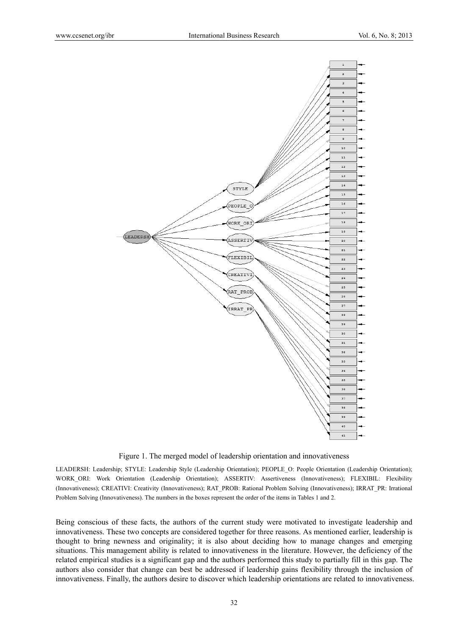

Figure 1. The merged model of leadership orientation and innovativeness

LEADERSH: Leadership; STYLE: Leadership Style (Leadership Orientation); PEOPLE\_O: People Orientation (Leadership Orientation); WORK ORI: Work Orientation (Leadership Orientation); ASSERTIV: Assertiveness (Innovativeness); FLEXIBIL: Flexibility (Innovativeness); CREATIVI: Creativity (Innovativeness); RAT\_PROB: Rational Problem Solving (Innovativeness); IRRAT\_PR: Irrational Problem Solving (Innovativeness). The numbers in the boxes represent the order of the items in Tables 1 and 2.

Being conscious of these facts, the authors of the current study were motivated to investigate leadership and innovativeness. These two concepts are considered together for three reasons. As mentioned earlier, leadership is thought to bring newness and originality; it is also about deciding how to manage changes and emerging situations. This management ability is related to innovativeness in the literature. However, the deficiency of the related empirical studies is a significant gap and the authors performed this study to partially fill in this gap. The authors also consider that change can best be addressed if leadership gains flexibility through the inclusion of innovativeness. Finally, the authors desire to discover which leadership orientations are related to innovativeness.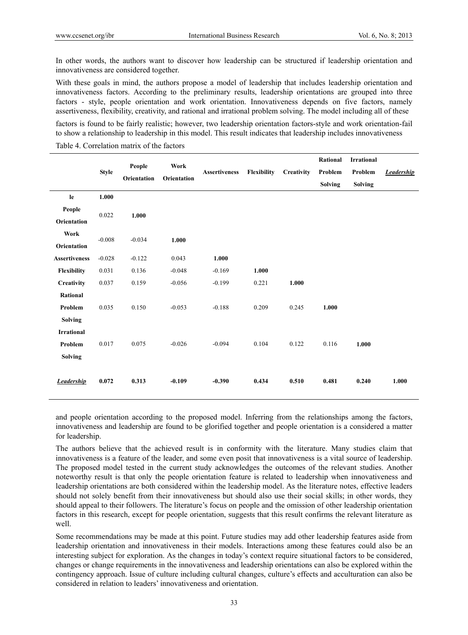In other words, the authors want to discover how leadership can be structured if leadership orientation and innovativeness are considered together.

With these goals in mind, the authors propose a model of leadership that includes leadership orientation and innovativeness factors. According to the preliminary results, leadership orientations are grouped into three factors - style, people orientation and work orientation. Innovativeness depends on five factors, namely assertiveness, flexibility, creativity, and rational and irrational problem solving. The model including all of these

factors is found to be fairly realistic; however, two leadership orientation factors-style and work orientation-fail to show a relationship to leadership in this model. This result indicates that leadership includes innovativeness

Table 4. Correlation matrix of the factors

|                      |              |                       | Work<br>Orientation | <b>Assertiveness</b> | Flexibility | Creativity | Rational       | <b>Irrational</b> |                   |
|----------------------|--------------|-----------------------|---------------------|----------------------|-------------|------------|----------------|-------------------|-------------------|
|                      | <b>Style</b> | People<br>Orientation |                     |                      |             |            | Problem        | Problem           | <b>Leadership</b> |
|                      |              |                       |                     |                      |             |            | <b>Solving</b> | <b>Solving</b>    |                   |
| le                   | 1.000        |                       |                     |                      |             |            |                |                   |                   |
| People               |              |                       |                     |                      |             |            |                |                   |                   |
| Orientation          | 0.022        | 1.000                 |                     |                      |             |            |                |                   |                   |
| Work                 |              |                       |                     |                      |             |            |                |                   |                   |
| Orientation          | $-0.008$     | $-0.034$              | 1.000               |                      |             |            |                |                   |                   |
| <b>Assertiveness</b> | $-0.028$     | $-0.122$              | 0.043               | 1.000                |             |            |                |                   |                   |
| Flexibility          | 0.031        | 0.136                 | $-0.048$            | $-0.169$             | 1.000       |            |                |                   |                   |
| Creativity           | 0.037        | 0.159                 | $-0.056$            | $-0.199$             | 0.221       | 1.000      |                |                   |                   |
| Rational             |              |                       |                     |                      |             |            |                |                   |                   |
| Problem              | 0.035        | 0.150                 | $-0.053$            | $-0.188$             | 0.209       | 0.245      | 1.000          |                   |                   |
| <b>Solving</b>       |              |                       |                     |                      |             |            |                |                   |                   |
| <b>Irrational</b>    |              |                       |                     |                      |             |            |                |                   |                   |
| Problem              | 0.017        | 0.075                 | $-0.026$            | $-0.094$             | 0.104       | 0.122      | 0.116          | 1.000             |                   |
| <b>Solving</b>       |              |                       |                     |                      |             |            |                |                   |                   |
|                      |              |                       |                     |                      |             |            |                |                   |                   |
| <b>Leadership</b>    | 0.072        | 0.313                 | $-0.109$            | $-0.390$             | 0.434       | 0.510      | 0.481          | 0.240             | 1.000             |
|                      |              |                       |                     |                      |             |            |                |                   |                   |

and people orientation according to the proposed model. Inferring from the relationships among the factors, innovativeness and leadership are found to be glorified together and people orientation is a considered a matter for leadership.

The authors believe that the achieved result is in conformity with the literature. Many studies claim that innovativeness is a feature of the leader, and some even posit that innovativeness is a vital source of leadership. The proposed model tested in the current study acknowledges the outcomes of the relevant studies. Another noteworthy result is that only the people orientation feature is related to leadership when innovativeness and leadership orientations are both considered within the leadership model. As the literature notes, effective leaders should not solely benefit from their innovativeness but should also use their social skills; in other words, they should appeal to their followers. The literature's focus on people and the omission of other leadership orientation factors in this research, except for people orientation, suggests that this result confirms the relevant literature as well.

Some recommendations may be made at this point. Future studies may add other leadership features aside from leadership orientation and innovativeness in their models. Interactions among these features could also be an interesting subject for exploration. As the changes in today's context require situational factors to be considered, changes or change requirements in the innovativeness and leadership orientations can also be explored within the contingency approach. Issue of culture including cultural changes, culture's effects and acculturation can also be considered in relation to leaders' innovativeness and orientation.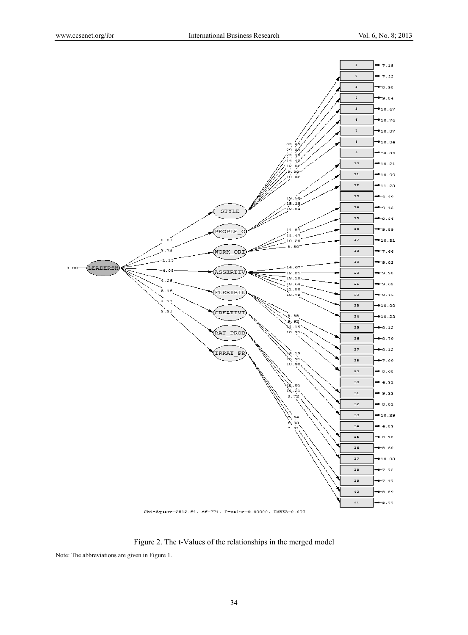

Figure 2. The t-Values of the relationships in the merged model

Note: The abbreviations are given in Figure 1.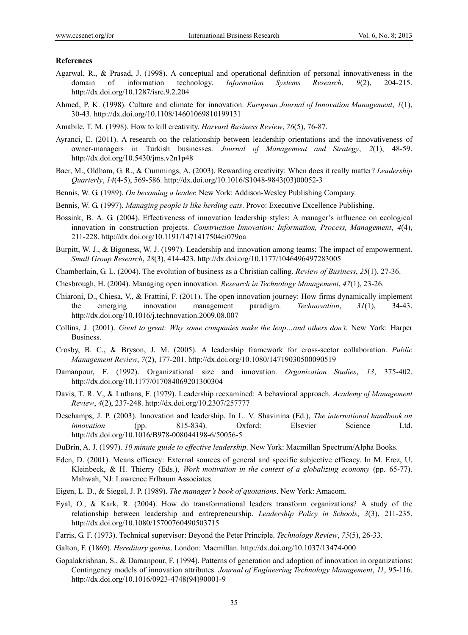#### **References**

- Agarwal, R., & Prasad, J. (1998). A conceptual and operational definition of personal innovativeness in the domain of information technology. *Information Systems Research*, *9*(2), 204-215. http://dx.doi.org/10.1287/isre.9.2.204
- Ahmed, P. K. (1998). Culture and climate for innovation. *European Journal of Innovation Management*, *1*(1), 30-43. http://dx.doi.org/10.1108/14601069810199131
- Amabile, T. M. (1998). How to kill creativity. *Harvard Business Review*, *76*(5), 76-87.
- Ayranci, E. (2011). A research on the relationship between leadership orientations and the innovativeness of owner-managers in Turkish businesses. *Journal of Management and Strategy*, *2*(1), 48-59. http://dx.doi.org/10.5430/jms.v2n1p48
- Baer, M., Oldham, G. R., & Cummings, A. (2003). Rewarding creativity: When does it really matter? *Leadership Quarterly*, *14*(4-5), 569-586. http://dx.doi.org/10.1016/S1048-9843(03)00052-3
- Bennis, W. G. (1989). *On becoming a leader.* New York: Addison-Wesley Publishing Company.
- Bennis, W. G. (1997). *Managing people is like herding cats*. Provo: Executive Excellence Publishing.
- Bossink, B. A. G. (2004). Effectiveness of innovation leadership styles: A manager's influence on ecological innovation in construction projects. *Construction Innovation: Information, Process, Management*, *4*(4), 211-228. http://dx.doi.org/10.1191/1471417504ci079oa
- Burpitt, W. J., & Bigoness, W. J. (1997). Leadership and innovation among teams: The impact of empowerment. *Small Group Research*, *28*(3), 414-423. http://dx.doi.org/10.1177/1046496497283005
- Chamberlain, G. L. (2004). The evolution of business as a Christian calling. *Review of Business*, *25*(1), 27-36.
- Chesbrough, H. (2004). Managing open innovation. *Research in Technology Management*, *47*(1), 23-26.
- Chiaroni, D., Chiesa, V., & Frattini, F. (2011). The open innovation journey: How firms dynamically implement the emerging innovation management paradigm. *Technovation*, *31*(1), 34-43. http://dx.doi.org/10.1016/j.technovation.2009.08.007
- Collins, J. (2001). *Good to great: Why some companies make the leap…and others don't*. New York: Harper Business.
- Crosby, B. C., & Bryson, J. M. (2005). A leadership framework for cross-sector collaboration. *Public Management Review*, *7*(2), 177-201. http://dx.doi.org/10.1080/14719030500090519
- Damanpour, F. (1992). Organizational size and innovation. *Organization Studies*, *13*, 375-402. http://dx.doi.org/10.1177/017084069201300304
- Davis, T. R. V., & Luthans, F. (1979). Leadership reexamined: A behavioral approach. *Academy of Management Review*, *4*(2), 237-248. http://dx.doi.org/10.2307/257777
- Deschamps, J. P. (2003). Innovation and leadership. In L. V. Shavinina (Ed.), *The international handbook on innovation* (pp. 815-834). Oxford: Elsevier Science Ltd. http://dx.doi.org/10.1016/B978-008044198-6/50056-5
- DuBrin, A. J. (1997). *10 minute guide to effective leadership*. New York: Macmillan Spectrum/Alpha Books.
- Eden, D. (2001). Means efficacy: External sources of general and specific subjective efficacy. In M. Erez, U. Kleinbeck, & H. Thierry (Eds.), *Work motivation in the context of a globalizing economy* (pp. 65-77). Mahwah, NJ: Lawrence Erlbaum Associates.
- Eigen, L. D., & Siegel, J. P. (1989). *The manager's book of quotations*. New York: Amacom.
- Eyal, O., & Kark, R. (2004). How do transformational leaders transform organizations? A study of the relationship between leadership and entrepreneurship. *Leadership Policy in Schools*, *3*(3), 211-235. http://dx.doi.org/10.1080/15700760490503715
- Farris, G. F. (1973). Technical supervisor: Beyond the Peter Principle. *Technology Review*, *75*(5), 26-33.
- Galton, F. (1869). *Hereditary genius*. London: Macmillan. http://dx.doi.org/10.1037/13474-000
- Gopalakrishnan, S., & Damanpour, F. (1994). Patterns of generation and adoption of innovation in organizations: Contingency models of innovation attributes. *Journal of Engineering Technology Management*, *11*, 95-116. http://dx.doi.org/10.1016/0923-4748(94)90001-9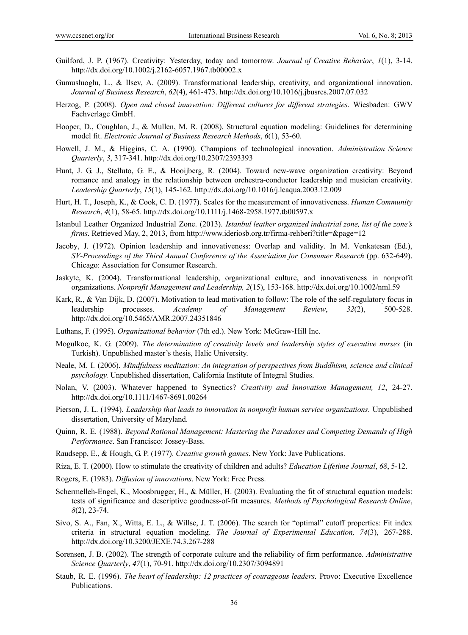- Guilford, J. P. (1967). Creativity: Yesterday, today and tomorrow. *Journal of Creative Behavior*, *1*(1), 3-14. http://dx.doi.org/10.1002/j.2162-6057.1967.tb00002.x
- Gumusluoglu, L., & Ilsev, A. (2009). Transformational leadership, creativity, and organizational innovation. *Journal of Business Research*, *62*(4), 461-473. http://dx.doi.org/10.1016/j.jbusres.2007.07.032
- Herzog, P. (2008). *Open and closed innovation: Different cultures for different strategies*. Wiesbaden: GWV Fachverlage GmbH.
- Hooper, D., Coughlan, J., & Mullen, M. R. (2008). Structural equation modeling: Guidelines for determining model fit. *Electronic Journal of Business Research Methods*, *6*(1), 53-60.
- Howell, J. M., & Higgins, C. A. (1990). Champions of technological innovation. *Administration Science Quarterly*, *3*, 317-341. http://dx.doi.org/10.2307/2393393
- Hunt, J. G. J., Stelluto, G. E., & Hooijberg, R. (2004). Toward new-wave organization creativity: Beyond romance and analogy in the relationship between orchestra-conductor leadership and musician creativity. *Leadership Quarterly*, *15*(1), 145-162. http://dx.doi.org/10.1016/j.leaqua.2003.12.009
- Hurt, H. T., Joseph, K., & Cook, C. D. (1977). Scales for the measurement of innovativeness. *Human Community Research*, *4*(1), 58-65. http://dx.doi.org/10.1111/j.1468-2958.1977.tb00597.x
- Istanbul Leather Organized Industrial Zone. (2013). *Istanbul leather organized industrial zone, list of the zone's firms*. Retrieved May, 2, 2013, from http://www.ideriosb.org.tr/firma-rehberi?title=&page=12
- Jacoby, J. (1972). Opinion leadership and innovativeness: Overlap and validity. In M. Venkatesan (Ed.), *SV-Proceedings of the Third Annual Conference of the Association for Consumer Research (pp. 632-649).* Chicago: Association for Consumer Research.
- Jaskyte, K. (2004). Transformational leadership, organizational culture, and innovativeness in nonprofit organizations. *Nonprofit Management and Leadership, 2*(15), 153-168. http://dx.doi.org/10.1002/nml.59
- Kark, R., & Van Dijk, D. (2007). Motivation to lead motivation to follow: The role of the self-regulatory focus in leadership processes. *Academy of Management Review*, *32*(2), 500-528. http://dx.doi.org/10.5465/AMR.2007.24351846
- Luthans, F. (1995). *Organizational behavior* (7th ed.). New York: McGraw-Hill Inc.
- Mogulkoc, K. G. (2009). *The determination of creativity levels and leadership styles of executive nurses* (in Turkish). Unpublished master's thesis, Halic University.
- Neale, M. I. (2006). *Mindfulness meditation: An integration of perspectives from Buddhism, science and clinical psychology.* Unpublished dissertation, California Institute of Integral Studies.
- Nolan, V. (2003). Whatever happened to Synectics? *Creativity and Innovation Management, 12*, 24-27. http://dx.doi.org/10.1111/1467-8691.00264
- Pierson, J. L. (1994). *Leadership that leads to innovation in nonprofit human service organizations.* Unpublished dissertation, University of Maryland.
- Quinn, R. E. (1988). *Beyond Rational Management: Mastering the Paradoxes and Competing Demands of High Performance*. San Francisco: Jossey-Bass.
- Raudsepp, E., & Hough, G. P. (1977). *Creative growth games*. New York: Jave Publications.
- Riza, E. T. (2000). How to stimulate the creativity of children and adults? *Education Lifetime Journal*, *68*, 5-12.
- Rogers, E. (1983). *Diffusion of innovations*. New York: Free Press.
- Schermelleh-Engel, K., Moosbrugger, H., & Müller, H. (2003). Evaluating the fit of structural equation models: tests of significance and descriptive goodness-of-fit measures. *Methods of Psychological Research Online*, *8*(2), 23-74.
- Sivo, S. A., Fan, X., Witta, E. L., & Willse, J. T. (2006). The search for "optimal" cutoff properties: Fit index criteria in structural equation modeling. *The Journal of Experimental Education, 74*(3), 267-288. http://dx.doi.org/10.3200/JEXE.74.3.267-288
- Sorensen, J. B. (2002). The strength of corporate culture and the reliability of firm performance. *Administrative Science Quarterly*, *47*(1), 70-91. http://dx.doi.org/10.2307/3094891
- Staub, R. E. (1996). *The heart of leadership: 12 practices of courageous leaders*. Provo: Executive Excellence Publications.